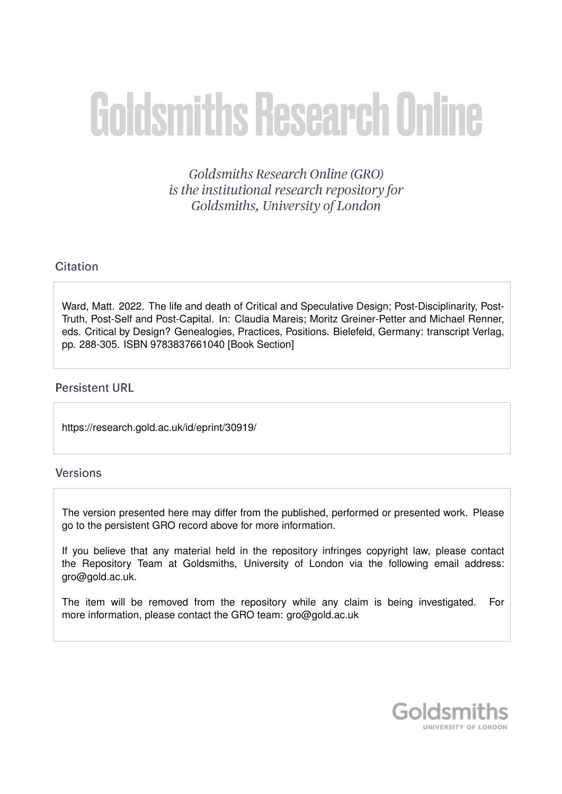# **Goldsmiths Research Online**

Goldsmiths Research Online (GRO) is the institutional research repository for Goldsmiths, University of London

### Citation

Ward, Matt. 2022. The life and death of Critical and Speculative Design: Post-Disciplinarity, Post-Truth, Post-Self and Post-Capital. In: Claudia Mareis; Moritz Greiner-Petter and Michael Renner, eds. Critical by Design? Genealogies, Practices, Positions. Bielefeld, Germany: transcript Verlag, pp. 288-305. ISBN 9783837661040 [Book Section]

### **Persistent URL**

https://research.gold.ac.uk/id/eprint/30919/

### Versions

The version presented here may differ from the published, performed or presented work. Please go to the persistent GRO record above for more information.

If you believe that any material held in the repository infringes copyright law, please contact the Repository Team at Goldsmiths, University of London via the following email address: gro@gold.ac.uk.

The item will be removed from the repository while any claim is being investigated. For more information, please contact the GRO team: gro@gold.ac.uk

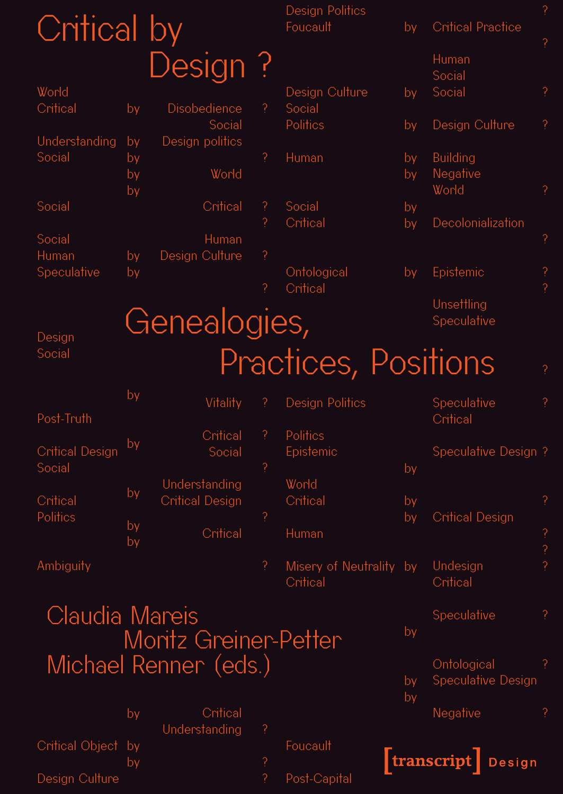| Critical by            |          |                              |                             | Design Politics<br>Foucault         | by                     | <b>Critical Practice</b>    | ?                                                       |
|------------------------|----------|------------------------------|-----------------------------|-------------------------------------|------------------------|-----------------------------|---------------------------------------------------------|
|                        |          |                              |                             |                                     |                        |                             | $\tilde{?}$                                             |
|                        |          | Design?                      |                             |                                     |                        | Human<br>Social             |                                                         |
| World                  |          |                              |                             | Design Culture                      | by                     | Social                      | $\tilde{.}$                                             |
| Critical               | by       | Disobedience<br>Social       | P                           | Social<br>Politics                  | by                     | Design Culture              | $\tilde{?}$                                             |
| Understanding          | by       | Design politics              |                             |                                     |                        |                             |                                                         |
| Social                 | by<br>by | World                        | $\tilde{?}$                 | Human                               | by<br>by               | <b>Building</b><br>Negative |                                                         |
|                        | by       |                              |                             |                                     |                        | World                       | $\tilde{?}$                                             |
| Social                 |          | Critical                     | $\tilde{?}$<br><sup>2</sup> | Social<br>Critical                  | by<br>by               | Decolonialization           |                                                         |
| Social                 |          | Human                        |                             |                                     |                        |                             | $\tilde{.}$                                             |
| Human<br>Speculative   | by<br>by | Design Culture               | Ģ                           | Ontological                         | by                     | Epistemic                   |                                                         |
|                        |          |                              | <sup>2</sup>                | Critical                            |                        |                             | $\overline{?}$                                          |
|                        |          | Genealogies,                 |                             |                                     |                        | Unsettling<br>Speculative   |                                                         |
| Design                 |          |                              |                             |                                     |                        |                             |                                                         |
| Social                 |          |                              |                             | Practices, Positions                |                        |                             | $\overline{?}$                                          |
|                        | by       | Vitality                     | P                           | <b>Design Politics</b>              |                        | Speculative                 | $\tilde{?}$                                             |
| Post-Truth             |          | Critical                     | $\overline{?}$              | Politics                            |                        | Critical                    |                                                         |
| <b>Critical Design</b> | by       | Social                       |                             | Epistemic                           |                        | Speculative Design?         |                                                         |
| Social                 |          | Understanding                | P                           | World                               | by                     |                             |                                                         |
| Critical               | by       | <b>Critical Design</b>       |                             | Critical                            | by                     |                             | P                                                       |
| <b>Politics</b>        | by       | Critical                     | ?<br>Human                  | by                                  | <b>Critical Design</b> |                             |                                                         |
|                        | by       |                              |                             |                                     |                        |                             | $\begin{array}{c} \n\text{?} \\ \text{?} \n\end{array}$ |
| Ambiguity              |          |                              | $\tilde{?}$                 | Misery of Neutrality by<br>Critical |                        | Undesign<br>Critical        |                                                         |
| Claudia Mareis         |          |                              |                             |                                     |                        | Speculative                 | $\tilde{.}$                                             |
|                        |          | <b>Moritz Greiner-Petter</b> |                             |                                     | by                     |                             |                                                         |
|                        |          | Michael Renner (eds.)        |                             |                                     |                        | Ontological                 | ?                                                       |
|                        |          |                              |                             |                                     | by                     | <b>Speculative Design</b>   |                                                         |
|                        | by       | Critical                     |                             |                                     | by                     | Negative                    | Ģ                                                       |
|                        |          | Understanding                | $\overline{\mathcal{C}}$    |                                     |                        |                             |                                                         |
| Critical Object        | by<br>by |                              | $\overline{?}$              | Foucault                            |                        | transcript Design           |                                                         |
| Design Culture         |          |                              |                             | Post-Capital                        |                        |                             |                                                         |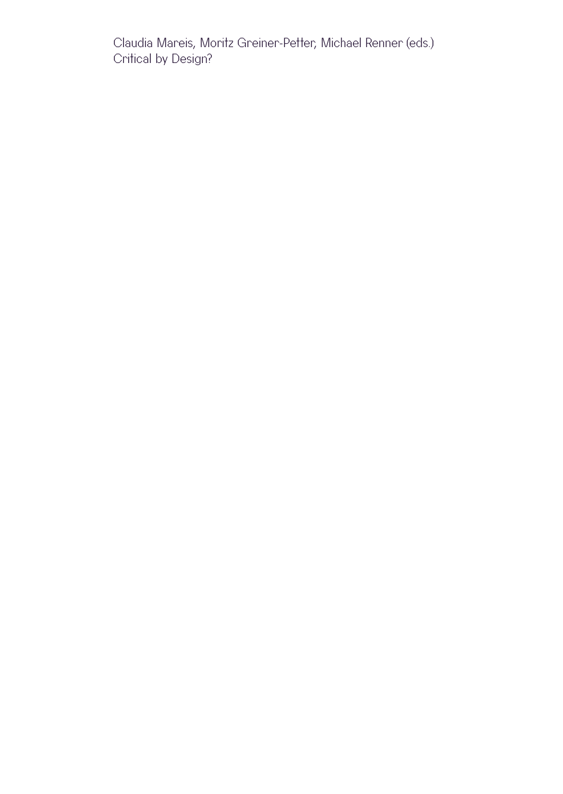Claudia Mareis, Moritz Greiner-Petter, Michael Renner (eds.) Critical by Design?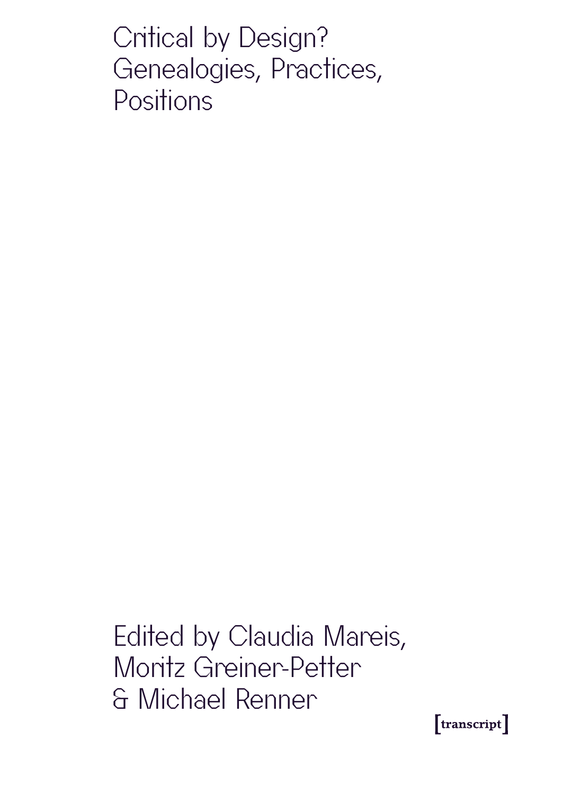Critical by Design? Genealogies, Practices, **Positions** 

Edited by Claudia Mareis, Moritz Greiner-Petter & Michael Renner

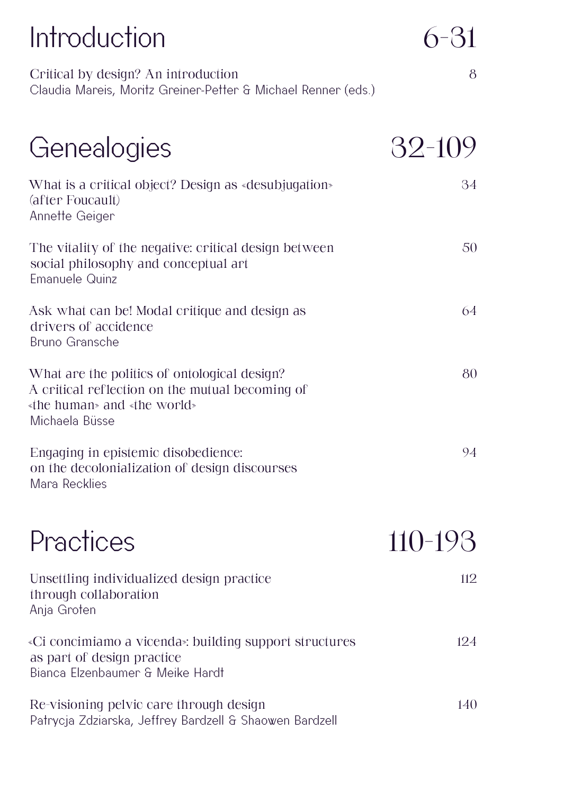| Introduction                                                                                                                                     | 6-31    |
|--------------------------------------------------------------------------------------------------------------------------------------------------|---------|
| Critical by design? An introduction<br>Claudia Mareis, Moritz Greiner-Petter & Michael Renner (eds.)                                             | 8       |
| Genealogies                                                                                                                                      | 32-109  |
| What is a critical object? Design as «desubjugation»<br>(after Foucault)<br>Annette Geiger                                                       | 34      |
| The vitality of the negative: critical design between<br>social philosophy and conceptual art<br><b>Emanuele Quinz</b>                           | 50      |
| Ask what can be! Modal critique and design as<br>drivers of accidence<br>Bruno Gransche                                                          | 64      |
| What are the politics of ontological design?<br>A critical reflection on the mutual becoming of<br>«the human» and «the world»<br>Michaela Büsse | 80      |
| Engaging in epistemic disobedience:<br>on the decolonialization of design discourses<br>Mara Recklies                                            | 94      |
| Practices                                                                                                                                        | 110-193 |
| Unsettling individualized design practice<br>through collaboration<br>Anja Groten                                                                | 112     |
| «Ci concimiamo a vicenda»: building support structures<br>as part of design practice                                                             | 124     |

Bianca Elzenbaumer & Meike Hardt

Re-visioning pelvic care through design Patrycja Zdziarska, Jeffrey Bardzell & Shaowen Bardzell 140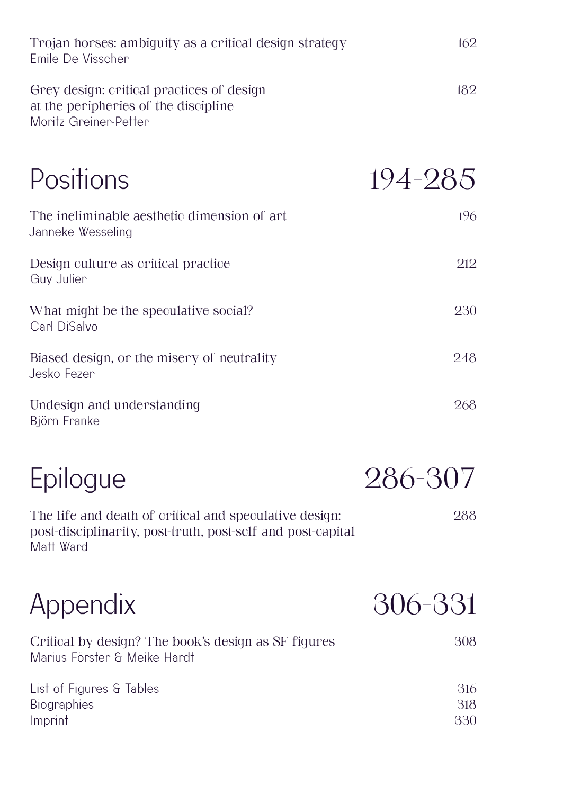| Trojan horses: ambiguity as a critical design strategy<br>Emile De Visscher                                                        | 162               |
|------------------------------------------------------------------------------------------------------------------------------------|-------------------|
| Grey design: critical practices of design<br>at the peripheries of the discipline<br>Moritz Greiner-Petter                         | 182               |
| Positions                                                                                                                          | 194-285           |
| The ineliminable aesthetic dimension of art<br>Janneke Wesseling                                                                   | 196               |
| Design culture as critical practice<br>Guy Julier                                                                                  | 212               |
| What might be the speculative social?<br>Carl DiSalvo                                                                              | 230               |
| Biased design, or the misery of neutrality<br>Jesko Fezer                                                                          | 248               |
| Undesign and understanding<br>Björn Franke                                                                                         | 268               |
| Epilogue                                                                                                                           | 286-307           |
| The life and death of critical and speculative design:<br>post-disciplinarity, post-truth, post-self and post-capital<br>Matt Ward | 288               |
| Appendix                                                                                                                           | 306-331           |
| Critical by design? The book's design as SF figures<br>Marius Förster & Meike Hardt                                                | 308               |
| List of Figures & Tables<br>Biographies<br>Imprint                                                                                 | 316<br>318<br>330 |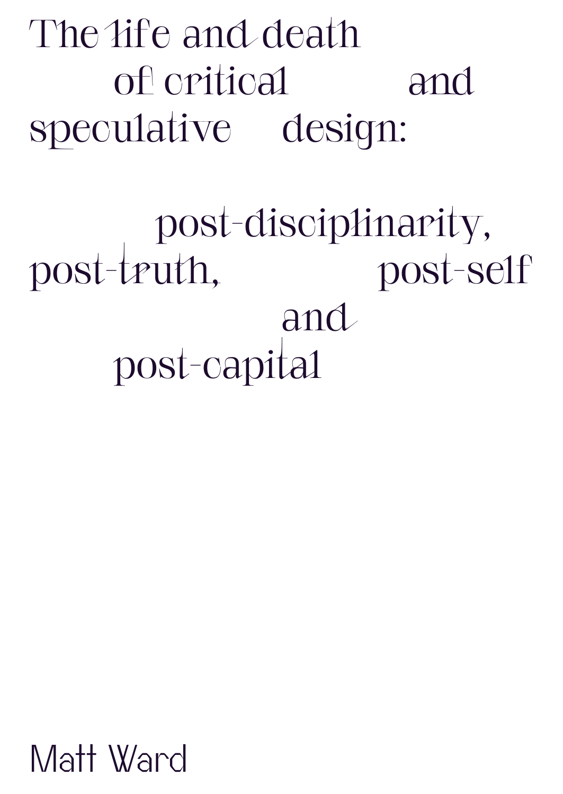The life and death of critical and speculative design:

 post-disciplinarity, post-truth, post-self and post-capital

Matt Ward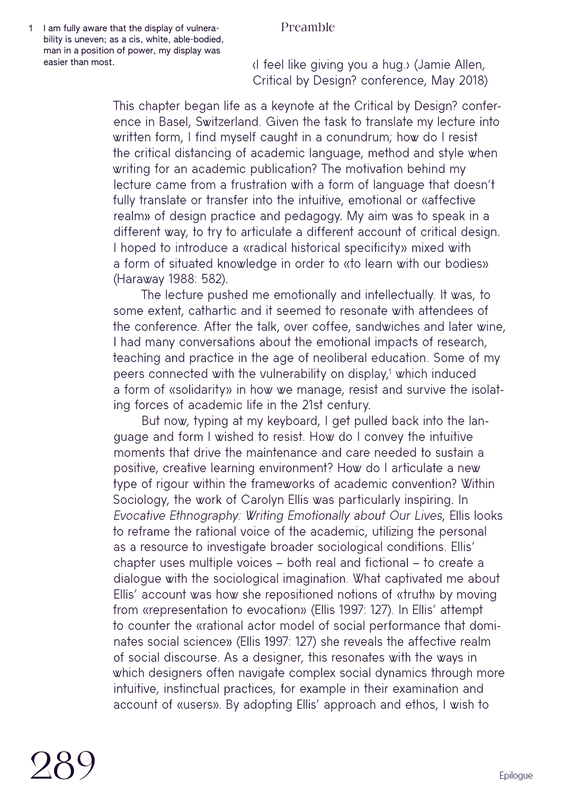### Preamble

1 I am fully aware that the display of vulnerability is uneven; as a cis, white, able-bodied, man in a position of power, my display was easier than most.

‹I feel like giving you a hug.› (Jamie Allen, Critical by Design? conference, May 2018)

This chapter began life as a keynote at the Critical by Design? conference in Basel, Switzerland. Given the task to translate my lecture into written form. I find myself caught in a conundrum; how do I resist the critical distancing of academic language, method and style when writing for an academic publication? The motivation behind my lecture came from a frustration with a form of language that doesn't fully translate or transfer into the intuitive, emotional or «affective realm» of design practice and pedagogy. My aim was to speak in a different way, to try to articulate a different account of critical design. I hoped to introduce a «radical historical specificity» mixed with a form of situated knowledge in order to «to learn with our bodies» (Haraway 1988: 582).

The lecture pushed me emotionally and intellectually. It was, to some extent, cathartic and it seemed to resonate with attendees of the conference. After the talk, over coffee, sandwiches and later wine, I had many conversations about the emotional impacts of research, teaching and practice in the age of neoliberal education. Some of my peers connected with the vulnerability on display,1 which induced i a form of «solidarity» in how we manage, resist and survive the isolating forces of academic life in the 21st century.

But now, typing at my keyboard, I get pulled back into the language and form I wished to resist. How do I convey the intuitive moments that drive the maintenance and care needed to sustain a positive, creative learning environment? How do I articulate a new type of rigour within the frameworks of academic convention? Within Sociology, the work of Carolyn Ellis was particularly inspiring. In Evocative Ethnography: Writing Emotionally about Our Lives, Ellis looks to reframe the rational voice of the academic, utilizing the personal as a resource to investigate broader sociological conditions. Ellis' chapter uses multiple voices – both real and fictional – to create a dialogue with the sociological imagination. What captivated me about Ellis' account was how she repositioned notions of «truth» by moving from «representation to evocation» (Ellis 1997: 127). In Ellis' attempt to counter the «rational actor model of social performance that dominates social science» (Ellis 1997: 127) she reveals the affective realm of social discourse. As a designer, this resonates with the ways in which designers often navigate complex social dynamics through more intuitive, instinctual practices, for example in their examination and account of «users». By adopting Ellis' approach and ethos, I wish to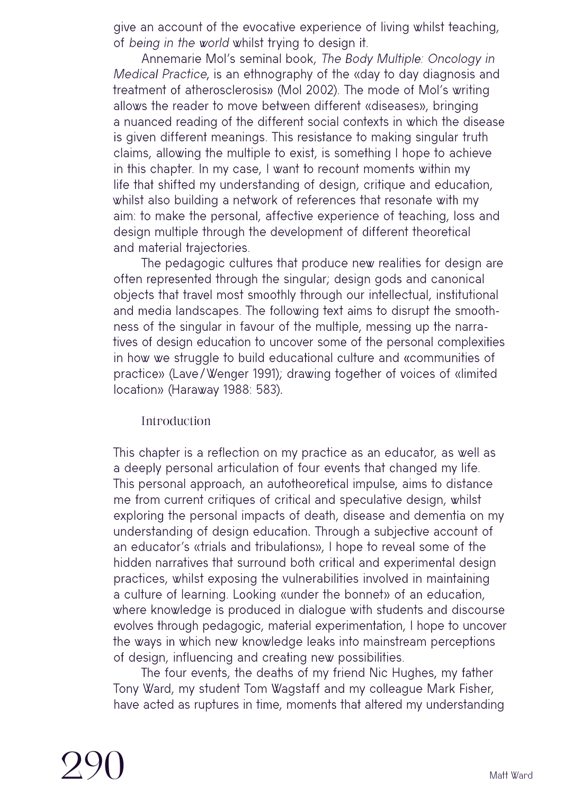give an account of the evocative experience of living whilst teaching, of being in the world whilst trying to design it.

Annemarie Mol's seminal book, The Body Multiple: Oncology in Medical Practice, is an ethnography of the «day to day diagnosis and treatment of atherosclerosis» (Mol 2002). The mode of Mol's writing allows the reader to move between different «diseases», bringing a nuanced reading of the different social contexts in which the disease is given different meanings. This resistance to making singular truth claims, allowing the multiple to exist, is something I hope to achieve in this chapter. In my case, I want to recount moments within my life that shifted my understanding of design, critique and education, whilst also building a network of references that resonate with my aim: to make the personal, affective experience of teaching, loss and design multiple through the development of different theoretical and material trajectories.

The pedagogic cultures that produce new realities for design are often represented through the singular; design gods and canonical objects that travel most smoothly through our intellectual, institutional and media landscapes. The following text aims to disrupt the smoothness of the singular in favour of the multiple, messing up the narratives of design education to uncover some of the personal complexities in how we struggle to build educational culture and «communities of practice» (Lave/Wenger 1991); drawing together of voices of «limited location» (Haraway 1988: 583).

### Introduction

This chapter is a reflection on my practice as an educator, as well as a deeply personal articulation of four events that changed my life. This personal approach, an autotheoretical impulse, aims to distance me from current critiques of critical and speculative design, whilst exploring the personal impacts of death, disease and dementia on my understanding of design education. Through a subjective account of an educator's «trials and tribulations», I hope to reveal some of the hidden narratives that surround both critical and experimental design practices, whilst exposing the vulnerabilities involved in maintaining a culture of learning. Looking «under the bonnet» of an education, where knowledge is produced in dialogue with students and discourse evolves through pedagogic, material experimentation, I hope to uncover the ways in which new knowledge leaks into mainstream perceptions of design, influencing and creating new possibilities.

The four events, the deaths of my friend Nic Hughes, my father Tony Ward, my student Tom Wagstaff and my colleague Mark Fisher, have acted as ruptures in time, moments that altered my understanding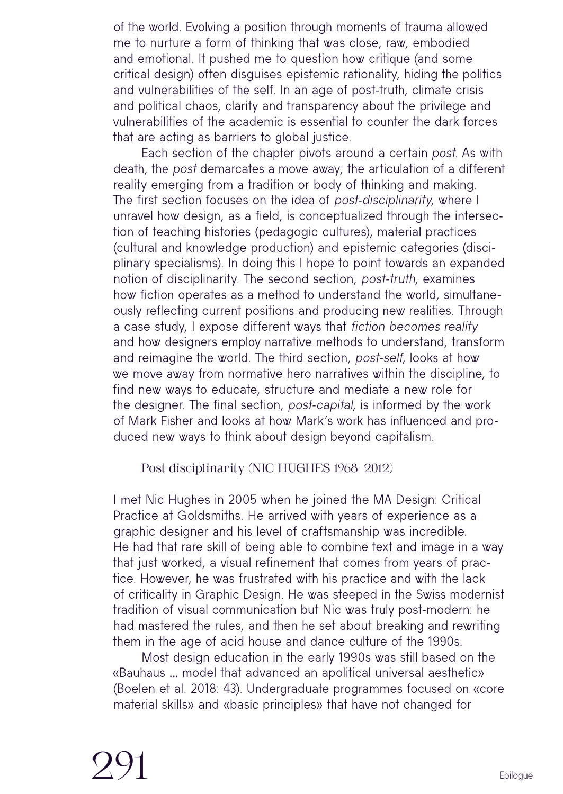of the world. Evolving a position through moments of trauma allowed me to nurture a form of thinking that was close, raw, embodied and emotional. It pushed me to question how critique (and some critical design) often disguises epistemic rationality, hiding the politics and vulnerabilities of the self. In an age of post-truth, climate crisis and political chaos, clarity and transparency about the privilege and vulnerabilities of the academic is essential to counter the dark forces that are acting as barriers to global justice.

Each section of the chapter pivots around a certain post. As with death, the post demarcates a move away; the articulation of a different reality emerging from a tradition or body of thinking and making. The first section focuses on the idea of post-disciplinarity, where I unravel how design, as a field, is conceptualized through the intersection of teaching histories (pedagogic cultures), material practices (cultural and knowledge production) and epistemic categories (disciplinary specialisms). In doing this I hope to point towards an expanded notion of disciplinarity. The second section, post-truth, examines how fiction operates as a method to understand the world, simultaneously reflecting current positions and producing new realities. Through a case study, I expose different ways that fiction becomes reality and how designers employ narrative methods to understand, transform and reimagine the world. The third section, post-self, looks at how we move away from normative hero narratives within the discipline, to find new ways to educate, structure and mediate a new role for the designer. The final section, post-capital, is informed by the work of Mark Fisher and looks at how Mark's work has influenced and produced new ways to think about design beyond capitalism.

Post-disciplinarity (NIC HUGHES 1968–2012)

I met Nic Hughes in 2005 when he joined the MA Design: Critical Practice at Goldsmiths. He arrived with years of experience as a graphic designer and his level of craftsmanship was incredible. He had that rare skill of being able to combine text and image in a way that just worked, a visual refinement that comes from years of practice. However, he was frustrated with his practice and with the lack of criticality in Graphic Design. He was steeped in the Swiss modernist tradition of visual communication but Nic was truly post-modern: he had mastered the rules, and then he set about breaking and rewriting them in the age of acid house and dance culture of the 1990s.

Most design education in the early 1990s was still based on the «Bauhaus … model that advanced an apolitical universal aesthetic» (Boelen et al. 2018: 43). Undergraduate programmes focused on «core material skills» and «basic principles» that have not changed for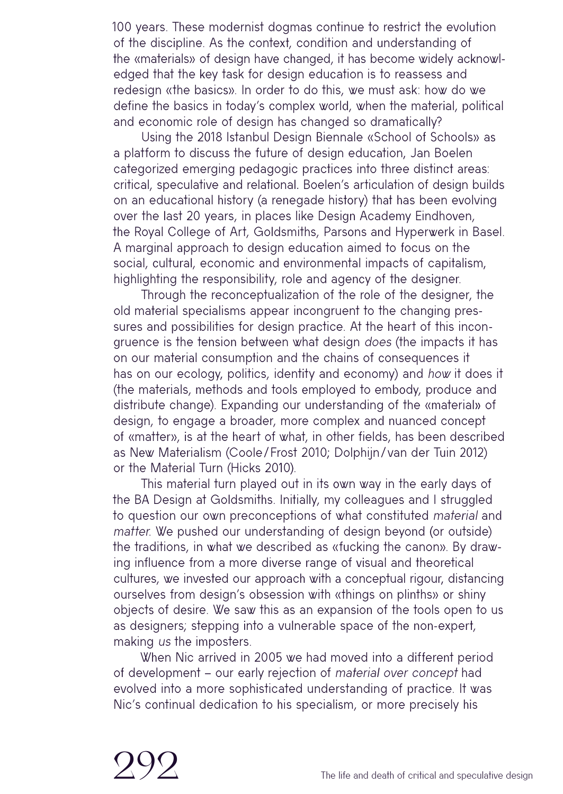100 years. These modernist dogmas continue to restrict the evolution of the discipline. As the context, condition and understanding of the «materials» of design have changed, it has become widely acknowledged that the key task for design education is to reassess and redesign «the basics». In order to do this, we must ask: how do we define the basics in today's complex world, when the material, political and economic role of design has changed so dramatically?

Using the 2018 Istanbul Design Biennale «School of Schools» as a platform to discuss the future of design education, Jan Boelen categorized emerging pedagogic practices into three distinct areas: critical, speculative and relational. Boelen's articulation of design builds on an educational history (a renegade history) that has been evolving over the last 20 years, in places like Design Academy Eindhoven, the Royal College of Art, Goldsmiths, Parsons and Hyperwerk in Basel. A marginal approach to design education aimed to focus on the social, cultural, economic and environmental impacts of capitalism, highlighting the responsibility, role and agency of the designer.

Through the reconceptualization of the role of the designer, the old material specialisms appear incongruent to the changing pressures and possibilities for design practice. At the heart of this incongruence is the tension between what design does (the impacts it has on our material consumption and the chains of consequences it has on our ecology, politics, identity and economy) and how it does it (the materials, methods and tools employed to embody, produce and distribute change). Expanding our understanding of the «material» of design, to engage a broader, more complex and nuanced concept of «matter», is at the heart of what, in other fields, has been described as New Materialism (Coole/ Frost 2010; Dolphijn/van der Tuin 2012) or the Material Turn (Hicks 2010).

This material turn played out in its own way in the early days of the BA Design at Goldsmiths. Initially, my colleagues and I struggled to question our own preconceptions of what constituted material and matter. We pushed our understanding of design beyond (or outside) the traditions, in what we described as «fucking the canon». By drawing influence from a more diverse range of visual and theoretical cultures, we invested our approach with a conceptual rigour, distancing ourselves from design's obsession with «things on plinths» or shiny objects of desire. We saw this as an expansion of the tools open to us as designers; stepping into a vulnerable space of the non-expert, making us the imposters.

When Nic arrived in 2005 we had moved into a different period of development – our early rejection of material over concept had evolved into a more sophisticated understanding of practice. It was Nic's continual dedication to his specialism, or more precisely his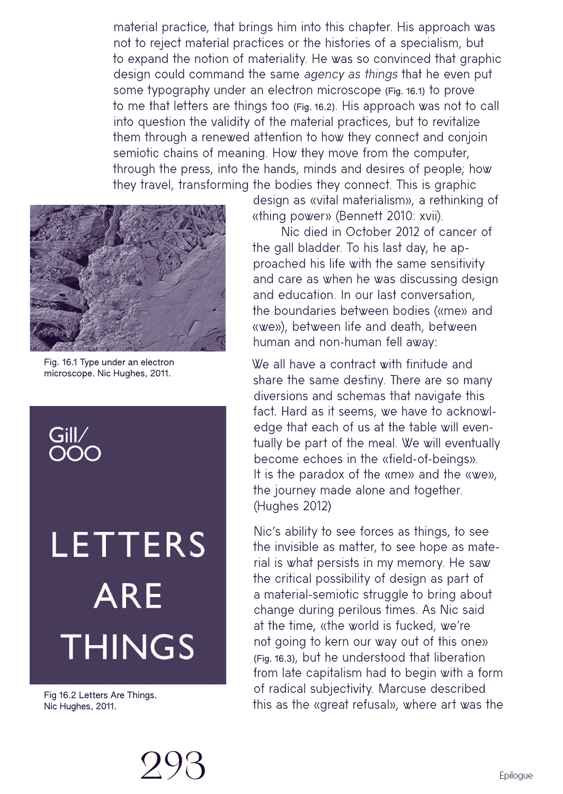material practice, that brings him into this chapter. His approach was not to reject material practices or the histories of a specialism, but to expand the notion of materiality. He was so convinced that graphic design could command the same agency as things that he even put some typography under an electron microscope (Fig. 16.1) to prove to me that letters are things too (Fig. 16.2). His approach was not to call into question the validity of the material practices, but to revitalize them through a renewed attention to how they connect and conjoin semiotic chains of meaning. How they move from the computer, through the press, into the hands, minds and desires of people; how they travel, transforming the bodies they connect. This is graphic



Fig. 16.1 Type under an electron microscope. Nic Hughes, 2011.



# **LETTERS ARE THINGS**

Fig 16.2 Letters Are Things. Nic Hughes, 2011.

design as «vital materialism», a rethinking of «thing power» (Bennett 2010: xvii).

Nic died in October 2012 of cancer of the gall bladder. To his last day, he approached his life with the same sensitivity and care as when he was discussing design and education. In our last conversation, the boundaries between bodies («me» and «we»), between life and death, between human and non-human fell away:

We all have a contract with finitude and share the same destiny. There are so many diversions and schemas that navigate this fact. Hard as it seems, we have to acknowledge that each of us at the table will eventually be part of the meal. We will eventually become echoes in the «field-of-beings». It is the paradox of the «me» and the «we», the journey made alone and together. (Hughes 2012)

Nic's ability to see forces as things, to see the invisible as matter, to see hope as material is what persists in my memory. He saw the critical possibility of design as part of a material-semiotic struggle to bring about change during perilous times. As Nic said at the time, «the world is fucked, we're not going to kern our way out of this one» (Fig. 16.3), but he understood that liberation from late capitalism had to begin with a form of radical subjectivity. Marcuse described this as the «great refusal», where art was the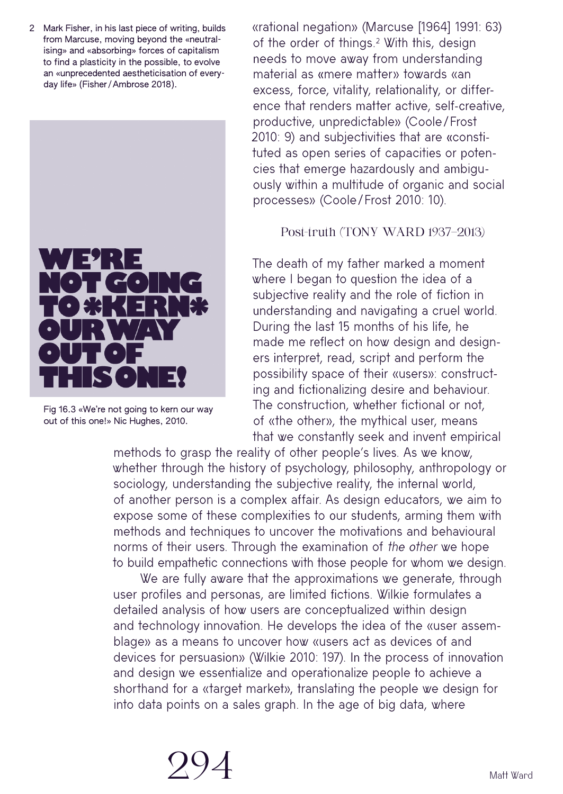2 Mark Fisher, in his last piece of writing, builds from Marcuse, moving beyond the «neutralising» and «absorbing» forces of capitalism to find a plasticity in the possible, to evolve an «unprecedented aestheticisation of everyday life» (Fisher /Ambrose 2018).



Fig 16.3 «We're not going to kern our way out of this one!» Nic Hughes, 2010.

«rational negation» (Marcuse [1964] 1991: 63) of the order of things.2 With this, design needs to move away from understanding material as «mere matter» towards «an excess, force, vitality, relationality, or difference that renders matter active, self-creative, productive, unpredictable» (Coole/Frost 2010: 9) and subjectivities that are «constituted as open series of capacities or potencies that emerge hazardously and ambiguously within a multitude of organic and social processes» (Coole/Frost 2010: 10).

#### Post-truth (TONY WARD 1937–2013)

The death of my father marked a moment where I began to question the idea of a subjective reality and the role of fiction in understanding and navigating a cruel world. During the last 15 months of his life, he made me reflect on how design and designers interpret, read, script and perform the possibility space of their «users»: constructing and fictionalizing desire and behaviour. The construction, whether fictional or not, of «the other», the mythical user, means that we constantly seek and invent empirical

methods to grasp the reality of other people's lives. As we know, whether through the history of psychology, philosophy, anthropology or sociology, understanding the subjective reality, the internal world, of another person is a complex affair. As design educators, we aim to expose some of these complexities to our students, arming them with methods and techniques to uncover the motivations and behavioural norms of their users. Through the examination of the other we hope to build empathetic connections with those people for whom we design.

We are fully aware that the approximations we generate, through user profiles and personas, are limited fictions. Wilkie formulates a detailed analysis of how users are conceptualized within design and technology innovation. He develops the idea of the «user assemblage» as a means to uncover how «users act as devices of and devices for persuasion» (Wilkie 2010: 197). In the process of innovation and design we essentialize and operationalize people to achieve a shorthand for a «target market», translating the people we design for into data points on a sales graph. In the age of big data, where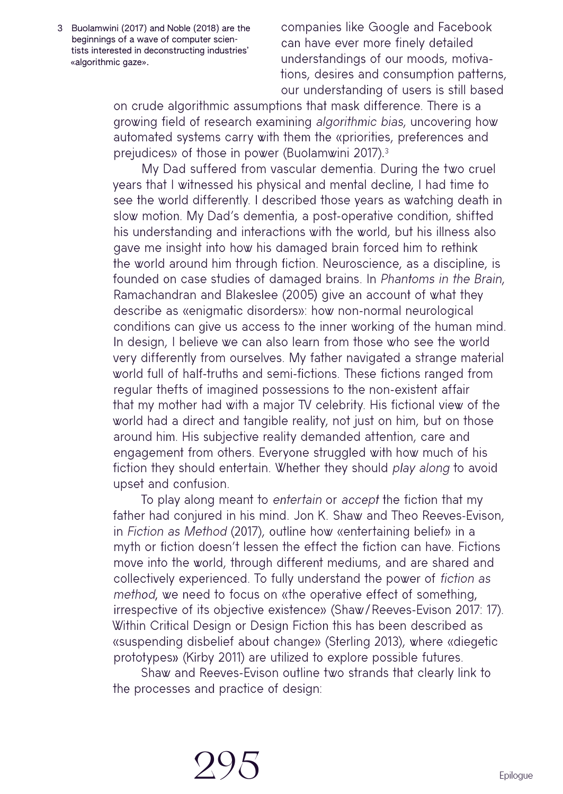3 Buolamwini (2017) and Noble (2018) are the beginnings of a wave of computer scientists interested in deconstructing industries' «algorithmic gaze».

companies like Google and Facebook can have ever more finely detailed understandings of our moods, motivations, desires and consumption patterns, our understanding of users is still based

on crude algorithmic assumptions that mask difference. There is a growing field of research examining algorithmic bias, uncovering how automated systems carry with them the «priorities, preferences and prejudices» of those in power (Buolamwini 2017). 3

My Dad suffered from vascular dementia. During the two cruel years that I witnessed his physical and mental decline, I had time to see the world differently. I described those years as watching death in slow motion. My Dad's dementia, a post-operative condition, shifted his understanding and interactions with the world, but his illness also gave me insight into how his damaged brain forced him to rethink the world around him through fiction. Neuroscience, as a discipline, is founded on case studies of damaged brains. In Phantoms in the Brain, Ramachandran and Blakeslee (2005) give an account of what they describe as «enigmatic disorders»: how non-normal neurological conditions can give us access to the inner working of the human mind. In design, I believe we can also learn from those who see the world very differently from ourselves. My father navigated a strange material world full of half-truths and semi-fictions. These fictions ranged from regular thefts of imagined possessions to the non-existent affair that my mother had with a major TV celebrity. His fictional view of the world had a direct and tangible reality, not just on him, but on those around him. His subjective reality demanded attention, care and engagement from others. Everyone struggled with how much of his fiction they should entertain. Whether they should play along to avoid upset and confusion.

To play along meant to entertain or accept the fiction that my father had conjured in his mind. Jon K. Shaw and Theo Reeves-Evison, in Fiction as Method (2017), outline how «entertaining belief» in a myth or fiction doesn't lessen the effect the fiction can have. Fictions move into the world, through different mediums, and are shared and collectively experienced. To fully understand the power of fiction as method, we need to focus on «the operative effect of something, irrespective of its objective existence» (Shaw/Reeves-Evison 2017: 17). Within Critical Design or Design Fiction this has been described as «suspending disbelief about change» (Sterling 2013), where «diegetic prototypes» (Kirby 2011) are utilized to explore possible futures.

Shaw and Reeves-Evison outline two strands that clearly link to the processes and practice of design: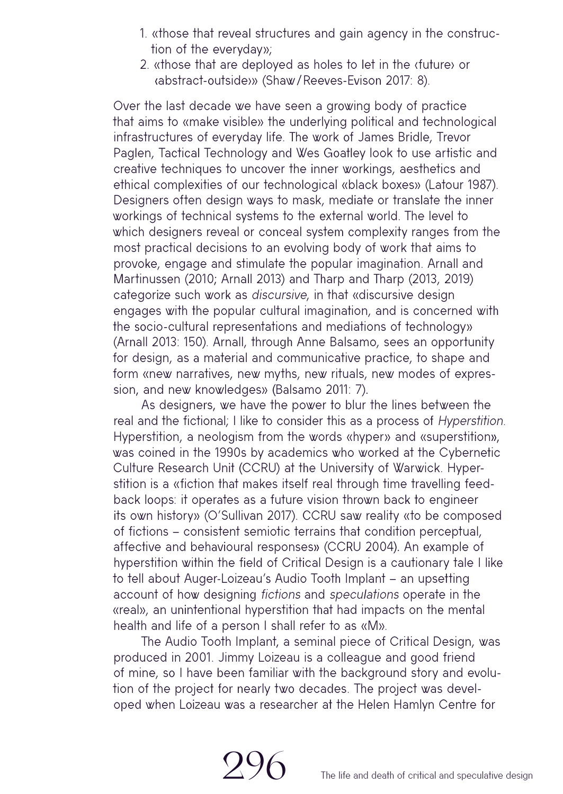- 1. «those that reveal structures and gain agency in the construction of the everyday»;
- 2. «those that are deployed as holes to let in the ‹future› or ‹abstract-outside›» (Shaw/Reeves-Evison 2017: 8).

Over the last decade we have seen a growing body of practice that aims to «make visible» the underlying political and technological infrastructures of everyday life. The work of James Bridle, Trevor Paglen, Tactical Technology and Wes Goatley look to use artistic and creative techniques to uncover the inner workings, aesthetics and ethical complexities of our technological «black boxes» (Latour 1987). Designers often design ways to mask, mediate or translate the inner workings of technical systems to the external world. The level to which designers reveal or conceal system complexity ranges from the most practical decisions to an evolving body of work that aims to provoke, engage and stimulate the popular imagination. Arnall and Martinussen (2010; Arnall 2013) and Tharp and Tharp (2013, 2019) categorize such work as discursive, in that «discursive design engages with the popular cultural imagination, and is concerned with the socio-cultural representations and mediations of technology» (Arnall 2013: 150). Arnall, through Anne Balsamo, sees an opportunity for design, as a material and communicative practice, to shape and form «new narratives, new myths, new rituals, new modes of expression, and new knowledges» (Balsamo 2011: 7).

As designers, we have the power to blur the lines between the real and the fictional; I like to consider this as a process of Hyperstition. Hyperstition, a neologism from the words «hyper» and «superstition», was coined in the 1990s by academics who worked at the Cybernetic Culture Research Unit (CCRU) at the University of Warwick. Hyperstition is a «fiction that makes itself real through time travelling feedback loops: it operates as a future vision thrown back to engineer its own history» (O'Sullivan 2017). CCRU saw reality «to be composed of fictions – consistent semiotic terrains that condition perceptual, affective and behavioural responses» (CCRU 2004). An example of hyperstition within the field of Critical Design is a cautionary tale I like to tell about Auger-Loizeau's Audio Tooth Implant – an upsetting account of how designing fictions and speculations operate in the «real», an unintentional hyperstition that had impacts on the mental health and life of a person I shall refer to as «M».

The Audio Tooth Implant, a seminal piece of Critical Design, was produced in 2001. Jimmy Loizeau is a colleague and good friend of mine, so I have been familiar with the background story and evolution of the project for nearly two decades. The project was developed when Loizeau was a researcher at the Helen Hamlyn Centre for

296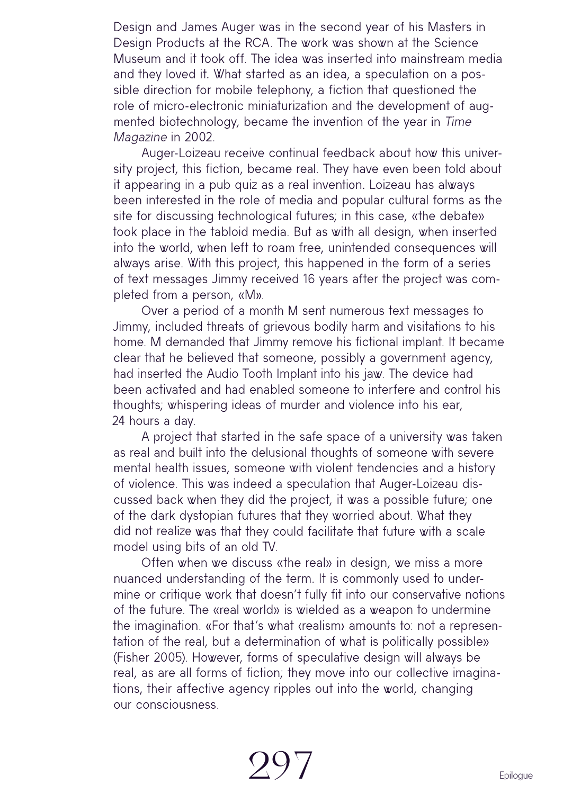Design and James Auger was in the second year of his Masters in Design Products at the RCA. The work was shown at the Science Museum and it took off. The idea was inserted into mainstream media and they loved it. What started as an idea, a speculation on a possible direction for mobile telephony, a fiction that questioned the role of micro-electronic miniaturization and the development of augmented biotechnology, became the invention of the year in Time Magazine in 2002.

Auger-Loizeau receive continual feedback about how this university project, this fiction, became real. They have even been told about it appearing in a pub quiz as a real invention. Loizeau has always been interested in the role of media and popular cultural forms as the site for discussing technological futures; in this case, «the debate» took place in the tabloid media. But as with all design, when inserted into the world, when left to roam free, unintended consequences will always arise. With this project, this happened in the form of a series of text messages Jimmy received 16 years after the project was completed from a person, «M».

Over a period of a month M sent numerous text messages to Jimmy, included threats of grievous bodily harm and visitations to his home. M demanded that Jimmy remove his fictional implant. It became clear that he believed that someone, possibly a government agency, had inserted the Audio Tooth Implant into his jaw. The device had been activated and had enabled someone to interfere and control his thoughts; whispering ideas of murder and violence into his ear, 24 hours a day.

A project that started in the safe space of a university was taken as real and built into the delusional thoughts of someone with severe mental health issues, someone with violent tendencies and a history of violence. This was indeed a speculation that Auger-Loizeau discussed back when they did the project, it was a possible future; one of the dark dystopian futures that they worried about. What they did not realize was that they could facilitate that future with a scale model using bits of an old TV.

Often when we discuss «the real» in design, we miss a more nuanced understanding of the term. It is commonly used to undermine or critique work that doesn't fully fit into our conservative notions of the future. The «real world» is wielded as a weapon to undermine the imagination. «For that's what ‹realism› amounts to: not a representation of the real, but a determination of what is politically possible» (Fisher 2005). However, forms of speculative design will always be real, as are all forms of fiction; they move into our collective imaginations, their affective agency ripples out into the world, changing our consciousness.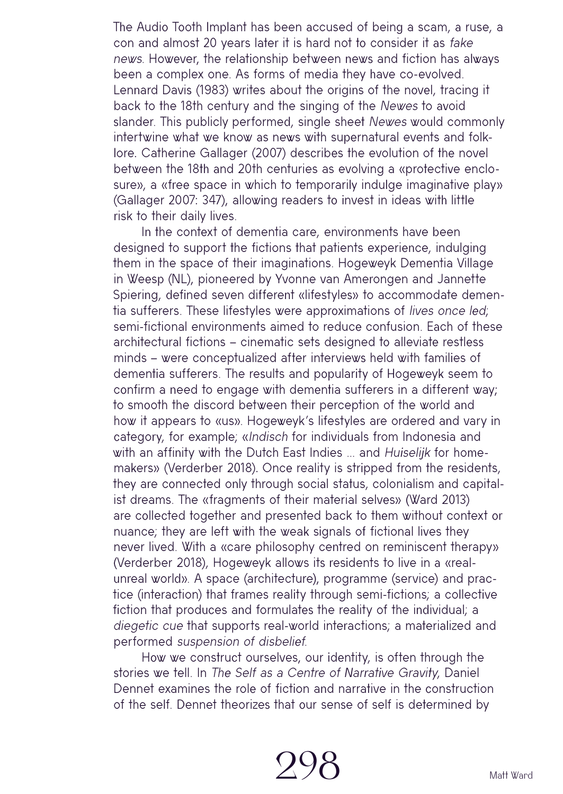The Audio Tooth Implant has been accused of being a scam, a ruse, a con and almost 20 years later it is hard not to consider it as fake news. However, the relationship between news and fiction has always been a complex one. As forms of media they have co-evolved. Lennard Davis (1983) writes about the origins of the novel, tracing it back to the 18th century and the singing of the Newes to avoid slander. This publicly performed, single sheet Newes would commonly intertwine what we know as news with supernatural events and folklore. Catherine Gallager (2007) describes the evolution of the novel between the 18th and 20th centuries as evolving a «protective enclosure», a «free space in which to temporarily indulge imaginative play» (Gallager 2007: 347), allowing readers to invest in ideas with little risk to their daily lives.

In the context of dementia care, environments have been designed to support the fictions that patients experience, indulging them in the space of their imaginations. Hogeweyk Dementia Village in Weesp (NL), pioneered by Yvonne van Amerongen and Jannette Spiering, defined seven different «lifestyles» to accommodate dementia sufferers. These lifestyles were approximations of lives once led; semi-fictional environments aimed to reduce confusion. Each of these architectural fictions – cinematic sets designed to alleviate restless minds – were conceptualized after interviews held with families of dementia sufferers. The results and popularity of Hogeweyk seem to confirm a need to engage with dementia sufferers in a different way; to smooth the discord between their perception of the world and how it appears to «us». Hogeweyk's lifestyles are ordered and vary in category, for example; «Indisch for individuals from Indonesia and with an affinity with the Dutch East Indies ... and Huiselijk for homemakers» (Verderber 2018). Once reality is stripped from the residents, they are connected only through social status, colonialism and capitalist dreams. The «fragments of their material selves» (Ward 2013) are collected together and presented back to them without context or nuance; they are left with the weak signals of fictional lives they never lived. With a «care philosophy centred on reminiscent therapy» (Verderber 2018), Hogeweyk allows its residents to live in a «realunreal world». A space (architecture), programme (service) and practice (interaction) that frames reality through semi-fictions; a collective fiction that produces and formulates the reality of the individual; a diegetic cue that supports real-world interactions; a materialized and performed suspension of disbelief.

How we construct ourselves, our identity, is often through the stories we tell. In The Self as a Centre of Narrative Gravity, Daniel Dennet examines the role of fiction and narrative in the construction of the self. Dennet theorizes that our sense of self is determined by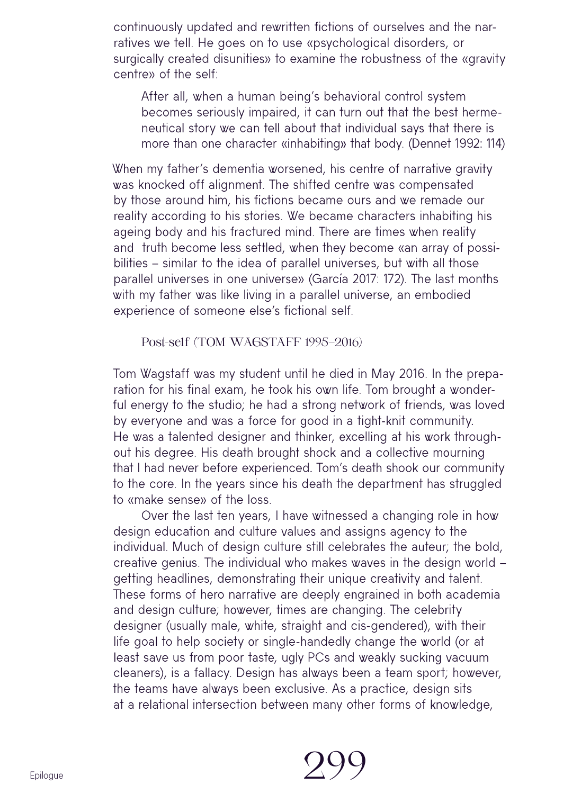continuously updated and rewritten fictions of ourselves and the narratives we tell. He goes on to use «psychological disorders, or surgically created disunities» to examine the robustness of the «gravity centre» of the self:

After all, when a human being's behavioral control system becomes seriously impaired, it can turn out that the best hermeneutical story we can tell about that individual says that there is more than one character «inhabiting» that body. (Dennet 1992: 114)

When my father's dementia worsened, his centre of narrative gravity was knocked off alignment. The shifted centre was compensated by those around him, his fictions became ours and we remade our reality according to his stories. We became characters inhabiting his ageing body and his fractured mind. There are times when reality and truth become less settled, when they become «an array of possibilities – similar to the idea of parallel universes, but with all those parallel universes in one universe» (García 2017: 172). The last months with my father was like living in a parallel universe, an embodied experience of someone else's fictional self.

Post-self (TOM WAGSTAFF 1995–2016)

Tom Wagstaff was my student until he died in May 2016. In the preparation for his final exam, he took his own life. Tom brought a wonderful energy to the studio; he had a strong network of friends, was loved by everyone and was a force for good in a tight-knit community. He was a talented designer and thinker, excelling at his work throughout his degree. His death brought shock and a collective mourning that I had never before experienced. Tom's death shook our community to the core. In the years since his death the department has struggled to «make sense» of the loss.

Over the last ten years, I have witnessed a changing role in how design education and culture values and assigns agency to the individual. Much of design culture still celebrates the auteur; the bold, creative genius. The individual who makes waves in the design world – getting headlines, demonstrating their unique creativity and talent. These forms of hero narrative are deeply engrained in both academia and design culture; however, times are changing. The celebrity designer (usually male, white, straight and cis-gendered), with their life goal to help society or single-handedly change the world (or at least save us from poor taste, ugly PCs and weakly sucking vacuum cleaners), is a fallacy. Design has always been a team sport; however, the teams have always been exclusive. As a practice, design sits at a relational intersection between many other forms of knowledge,

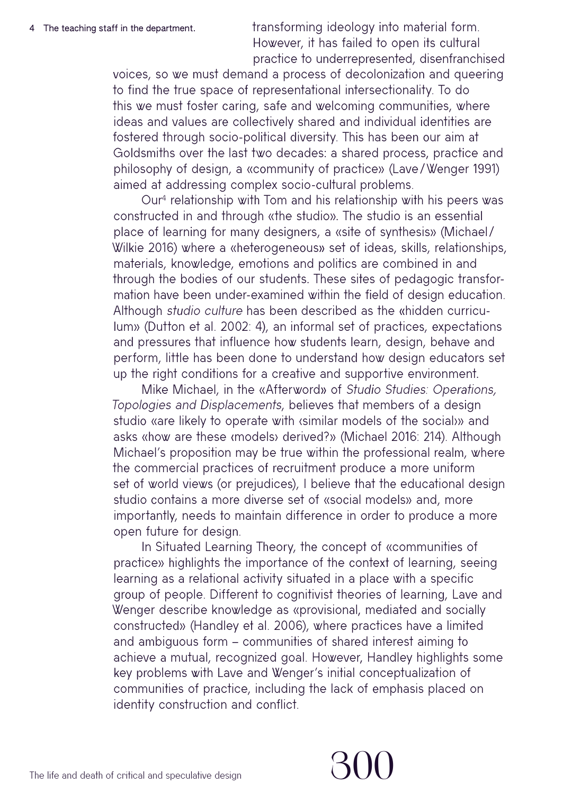transforming ideology into material form. However, it has failed to open its cultural practice to underrepresented, disenfranchised

voices, so we must demand a process of decolonization and queering to find the true space of representational intersectionality. To do this we must foster caring, safe and welcoming communities, where ideas and values are collectively shared and individual identities are fostered through socio-political diversity. This has been our aim at Goldsmiths over the last two decades: a shared process, practice and philosophy of design, a «community of practice» (Lave/Wenger 1991) aimed at addressing complex socio-cultural problems.

Our4 relationship with Tom and his relationship with his peers was constructed in and through «the studio». The studio is an essential place of learning for many designers, a «site of synthesis» (Michael / Wilkie 2016) where a «heterogeneous» set of ideas, skills, relationships, materials, knowledge, emotions and politics are combined in and through the bodies of our students. These sites of pedagogic transformation have been under-examined within the field of design education. Although studio culture has been described as the «hidden curriculum» (Dutton et al. 2002: 4), an informal set of practices, expectations and pressures that influence how students learn, design, behave and perform, little has been done to understand how design educators set up the right conditions for a creative and supportive environment.

Mike Michael, in the «Afterword» of Studio Studies: Operations, Topologies and Displacements, believes that members of a design studio «are likely to operate with ‹similar models of the social›» and asks «how are these ‹models› derived?» (Michael 2016: 214). Although Michael's proposition may be true within the professional realm, where the commercial practices of recruitment produce a more uniform set of world views (or prejudices), I believe that the educational design studio contains a more diverse set of «social models» and, more importantly, needs to maintain difference in order to produce a more open future for design.

In Situated Learning Theory, the concept of «communities of practice» highlights the importance of the context of learning, seeing learning as a relational activity situated in a place with a specific group of people. Different to cognitivist theories of learning, Lave and Wenger describe knowledge as «provisional, mediated and socially constructed» (Handley et al. 2006), where practices have a limited and ambiguous form – communities of shared interest aiming to achieve a mutual, recognized goal. However, Handley highlights some key problems with Lave and Wenger's initial conceptualization of communities of practice, including the lack of emphasis placed on identity construction and conflict.

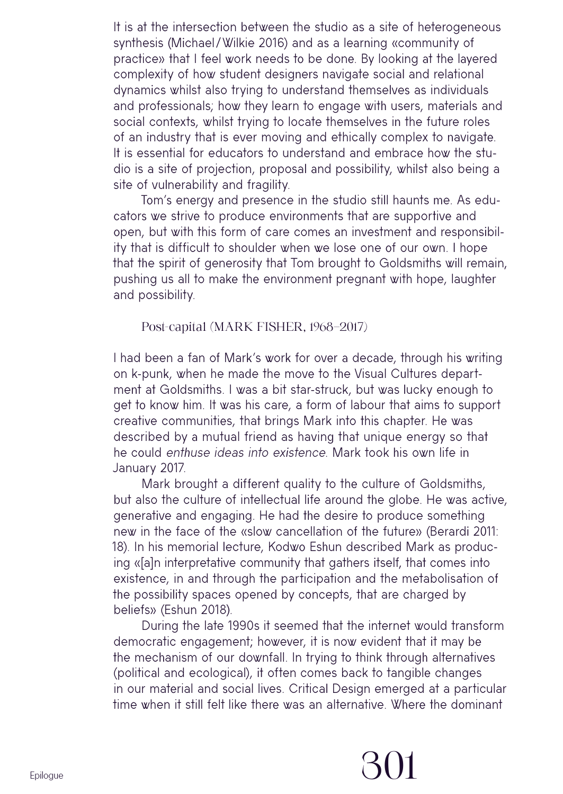It is at the intersection between the studio as a site of heterogeneous synthesis (Michael/Wilkie 2016) and as a learning «community of practice» that I feel work needs to be done. By looking at the layered complexity of how student designers navigate social and relational dynamics whilst also trying to understand themselves as individuals and professionals; how they learn to engage with users, materials and social contexts, whilst trying to locate themselves in the future roles of an industry that is ever moving and ethically complex to navigate. It is essential for educators to understand and embrace how the studio is a site of projection, proposal and possibility, whilst also being a site of vulnerability and fragility.

Tom's energy and presence in the studio still haunts me. As educators we strive to produce environments that are supportive and open, but with this form of care comes an investment and responsibility that is difficult to shoulder when we lose one of our own. I hope that the spirit of generosity that Tom brought to Goldsmiths will remain, pushing us all to make the environment pregnant with hope, laughter and possibility.

Post-capital (MARK FISHER, 1968–2017)

I had been a fan of Mark's work for over a decade, through his writing on k-punk, when he made the move to the Visual Cultures department at Goldsmiths. I was a bit star-struck, but was lucky enough to get to know him. It was his care, a form of labour that aims to support creative communities, that brings Mark into this chapter. He was described by a mutual friend as having that unique energy so that he could enthuse ideas into existence. Mark took his own life in January 2017.

Mark brought a different quality to the culture of Goldsmiths, but also the culture of intellectual life around the globe. He was active, generative and engaging. He had the desire to produce something new in the face of the «slow cancellation of the future» (Berardi 2011: 18). In his memorial lecture, Kodwo Eshun described Mark as producing «[a]n interpretative community that gathers itself, that comes into existence, in and through the participation and the metabolisation of the possibility spaces opened by concepts, that are charged by beliefs» (Eshun 2018).

During the late 1990s it seemed that the internet would transform democratic engagement; however, it is now evident that it may be the mechanism of our downfall. In trying to think through alternatives (political and ecological), it often comes back to tangible changes in our material and social lives. Critical Design emerged at a particular time when it still felt like there was an alternative. Where the dominant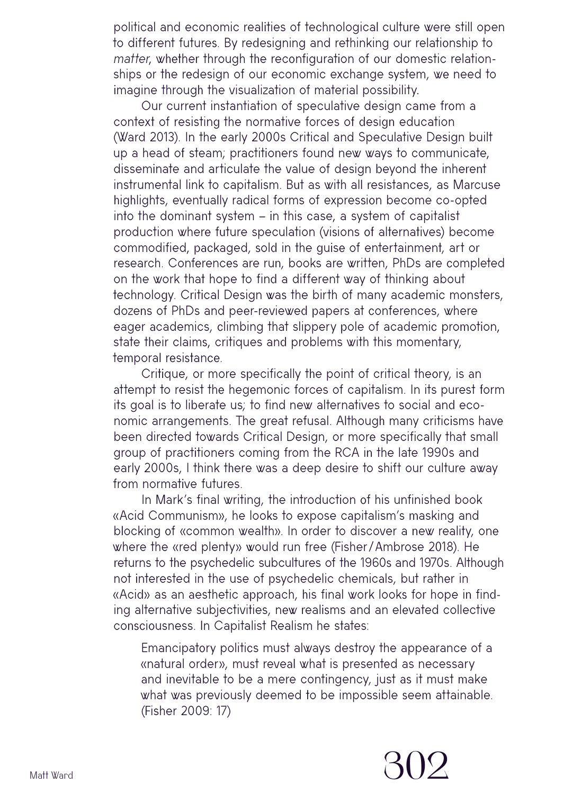political and economic realities of technological culture were still open to different futures. By redesigning and rethinking our relationship to matter, whether through the reconfiguration of our domestic relationships or the redesign of our economic exchange system, we need to imagine through the visualization of material possibility.

Our current instantiation of speculative design came from a context of resisting the normative forces of design education (Ward 2013). In the early 2000s Critical and Speculative Design built up a head of steam; practitioners found new ways to communicate, disseminate and articulate the value of design beyond the inherent instrumental link to capitalism. But as with all resistances, as Marcuse highlights, eventually radical forms of expression become co-opted into the dominant system – in this case, a system of capitalist production where future speculation (visions of alternatives) become commodified, packaged, sold in the guise of entertainment, art or research. Conferences are run, books are written, PhDs are completed on the work that hope to find a different way of thinking about technology. Critical Design was the birth of many academic monsters, dozens of PhDs and peer-reviewed papers at conferences, where eager academics, climbing that slippery pole of academic promotion, state their claims, critiques and problems with this momentary, temporal resistance.

Critique, or more specifically the point of critical theory, is an attempt to resist the hegemonic forces of capitalism. In its purest form its goal is to liberate us; to find new alternatives to social and economic arrangements. The great refusal. Although many criticisms have been directed towards Critical Design, or more specifically that small group of practitioners coming from the RCA in the late 1990s and early 2000s, I think there was a deep desire to shift our culture away from normative futures.

In Mark's final writing, the introduction of his unfinished book «Acid Communism», he looks to expose capitalism's masking and blocking of «common wealth». In order to discover a new reality, one where the «red plenty» would run free (Fisher /Ambrose 2018). He returns to the psychedelic subcultures of the 1960s and 1970s. Although not interested in the use of psychedelic chemicals, but rather in «Acid» as an aesthetic approach, his final work looks for hope in finding alternative subjectivities, new realisms and an elevated collective consciousness. In Capitalist Realism he states:

Emancipatory politics must always destroy the appearance of a «natural order», must reveal what is presented as necessary and inevitable to be a mere contingency, just as it must make what was previously deemed to be impossible seem attainable. (Fisher 2009: 17)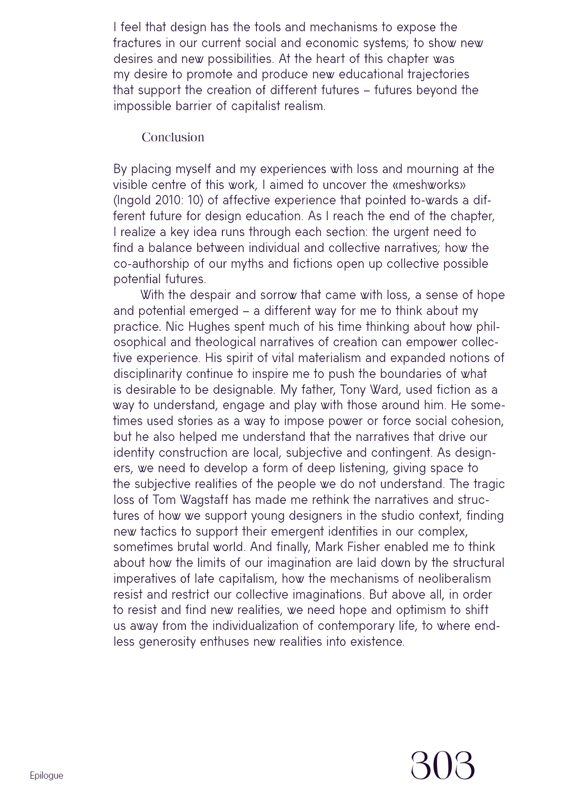I feel that design has the tools and mechanisms to expose the fractures in our current social and economic systems; to show new desires and new possibilities. At the heart of this chapter was my desire to promote and produce new educational trajectories that support the creation of different futures – futures beyond the impossible barrier of capitalist realism.

### Conclusion

By placing myself and my experiences with loss and mourning at the visible centre of this work, I aimed to uncover the «meshworks» (Ingold 2010: 10) of affective experience that pointed to-wards a different future for design education. As I reach the end of the chapter, I realize a key idea runs through each section: the urgent need to find a balance between individual and collective narratives; how the co-authorship of our myths and fictions open up collective possible potential futures.

With the despair and sorrow that came with loss, a sense of hope and potential emerged – a different way for me to think about my practice. Nic Hughes spent much of his time thinking about how philosophical and theological narratives of creation can empower collective experience. His spirit of vital materialism and expanded notions of disciplinarity continue to inspire me to push the boundaries of what is desirable to be designable. My father, Tony Ward, used fiction as a way to understand, engage and play with those around him. He sometimes used stories as a way to impose power or force social cohesion, but he also helped me understand that the narratives that drive our identity construction are local, subjective and contingent. As designers, we need to develop a form of deep listening, giving space to the subjective realities of the people we do not understand. The tragic loss of Tom Wagstaff has made me rethink the narratives and structures of how we support young designers in the studio context, finding new tactics to support their emergent identities in our complex, sometimes brutal world. And finally, Mark Fisher enabled me to think about how the limits of our imagination are laid down by the structural imperatives of late capitalism, how the mechanisms of neoliberalism resist and restrict our collective imaginations. But above all, in order to resist and find new realities, we need hope and optimism to shift us away from the individualization of contemporary life, to where endless generosity enthuses new realities into existence.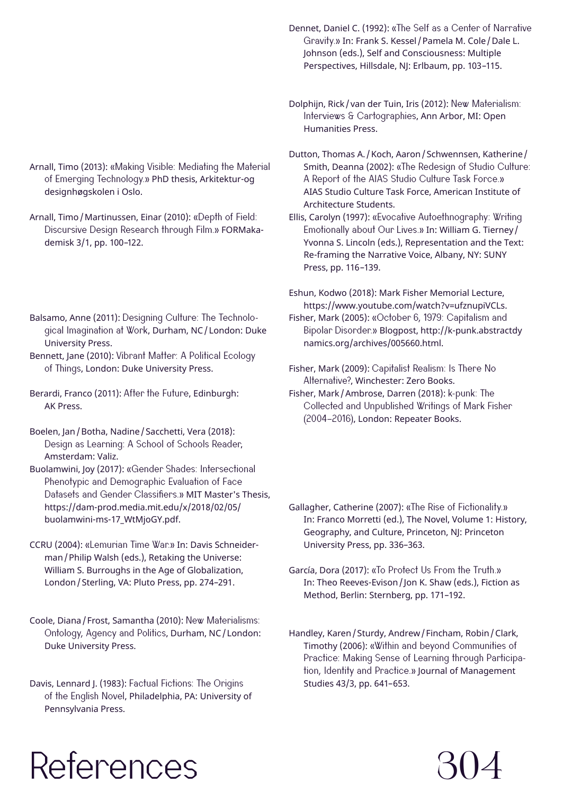Arnall, Timo (2013): «Making Visible: Mediating the Material of Emerging Technology.» PhD thesis, Arkitektur-og designhøgskolen i Oslo.

Arnall, Timo/Martinussen, Einar (2010): «Depth of Field: Discursive Design Research through Film.» FORMakademisk 3/1, pp. 100–122.

- Balsamo, Anne (2011): Designing Culture: The Technological Imagination at Work, Durham, NC/London: Duke University Press.
- Bennett, Jane (2010): Vibrant Matter: A Political Ecology of Things, London: Duke University Press.
- Berardi, Franco (2011): After the Future, Edinburgh: AK Press.
- Boelen, Jan/Botha, Nadine/Sacchetti, Vera (2018): Design as Learning: A School of Schools Reader, Amsterdam: Valiz.
- Buolamwini, Joy (2017): «Gender Shades: Intersectional Phenotypic and Demographic Evaluation of Face Datasets and Gender Classifiers.» MIT Master's Thesis, [https://dam-prod.media.mit.edu/x/2018/02/05/](https://dam-prod.media.mit.edu/x/2018/02/05/buolamwini-ms-17_WtMjoGY.pdf) [buolamwini-ms-17\\_WtMjoGY.pdf.](https://dam-prod.media.mit.edu/x/2018/02/05/buolamwini-ms-17_WtMjoGY.pdf)
- CCRU (2004): «Lemurian Time War.» In: Davis Schneiderman/Philip Walsh (eds.), Retaking the Universe: William S. Burroughs in the Age of Globalization, London/Sterling, VA: Pluto Press, pp. 274–291.
- Coole, Diana/Frost, Samantha (2010): New Materialisms: Ontology, Agency and Politics, Durham, NC/London: Duke University Press.

Davis, Lennard J. (1983): Factual Fictions: The Origins of the English Novel, Philadelphia, PA: University of Pennsylvania Press.

Dennet, Daniel C. (1992): «The Self as a Center of Narrative Gravity.» In: Frank S. Kessel /Pamela M. Cole/Dale L. Johnson (eds.), Self and Consciousness: Multiple Perspectives, Hillsdale, NJ: Erlbaum, pp. 103-115.

- Dolphijn, Rick/van der Tuin, Iris (2012): New Materialism: Interviews & Cartographies, Ann Arbor, MI: Open Humanities Press.
- Dutton, Thomas A. / Koch, Aaron / Schwennsen, Katherine / Smith, Deanna (2002): «The Redesign of Studio Culture: A Report of the AIAS Studio Culture Task Force.» AIAS Studio Culture Task Force, American Institute of Architecture Students.
- Ellis, Carolyn (1997): «Evocative Autoethnography: Writing Emotionally about Our Lives.» In: William G. Tierney/ Yvonna S. Lincoln (eds.), Representation and the Text: Re-framing the Narrative Voice, Albany, NY: SUNY Press, pp. 116–139.

Eshun, Kodwo (2018): Mark Fisher Memorial Lecture, <https://www.youtube.com/watch?v=ufznupiVCLs>.

- Fisher, Mark (2005): «October 6, 1979: Capitalism and Bipolar Disorder.» Blogpost, [http://k-punk.abstractdy](http://k-punk.abstractdynamics.org/archives/005660.html)  [namics.org/archives/005660.html.](http://k-punk.abstractdynamics.org/archives/005660.html)
- Fisher, Mark (2009): Capitalist Realism: Is There No Alternative?, Winchester: Zero Books.
- Fisher, Mark/Ambrose, Darren (2018): k-punk: The Collected and Unpublished Writings of Mark Fisher (2004–2016), London: Repeater Books.
- Gallagher, Catherine (2007): «The Rise of Fictionality.» In: Franco Morretti (ed.), The Novel, Volume 1: History, Geography, and Culture, Princeton, NJ: Princeton University Press, pp. 336–363.
- García, Dora (2017): «To Protect Us From the Truth.» In: Theo Reeves-Evison/ Jon K. Shaw (eds.), Fiction as Method, Berlin: Sternberg, pp. 171–192.
- Handley, Karen/Sturdy, Andrew/Fincham, Robin/Clark, Timothy (2006): «Within and beyond Communities of Practice: Making Sense of Learning through Participation, Identity and Practice.» Journal of Management Studies 43/3, pp. 641–653.

304

### References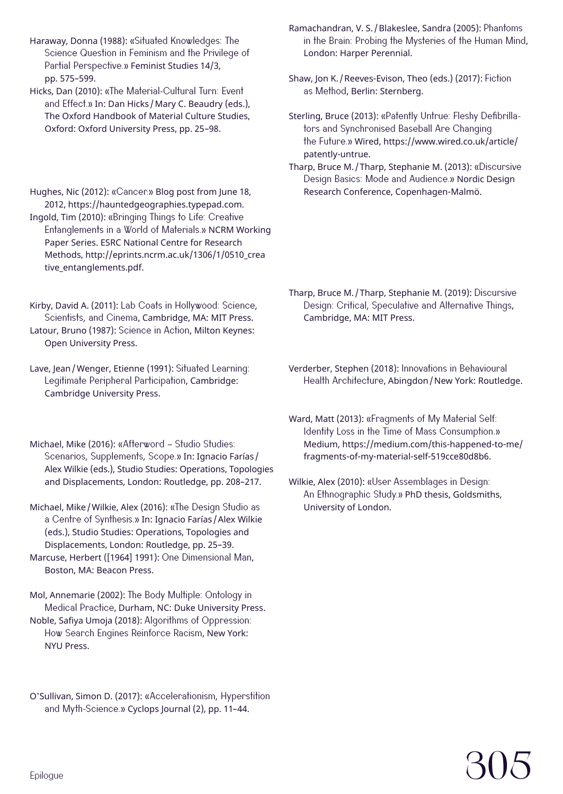Haraway, Donna (1988): «Situated Knowledges: The Science Question in Feminism and the Privilege of Partial Perspective.» Feminist Studies 14/3, pp. 575–599.

Hicks, Dan (2010): «The Material-Cultural Turn: Event and Effect.» In: Dan Hicks / Mary C. Beaudry (eds.), The Oxford Handbook of Material Culture Studies, Oxford: Oxford University Press, pp. 25–98.

Hughes, Nic (2012): «Cancer.» Blog post from June 18, 2012,<https://hauntedgeographies.typepad.com>. Ingold, Tim (2010): «Bringing Things to Life: Creative Entanglements in a World of Materials.» NCRM Working Paper Series. ESRC National Centre for Research Methods, [http://eprints.ncrm.ac.uk/1306/1/0510\\_crea](http://eprints.ncrm.ac.uk/1306/1/0510_creative_entanglements.pdf)  [tive\\_entanglements.pdf](http://eprints.ncrm.ac.uk/1306/1/0510_creative_entanglements.pdf).

Kirby, David A. (2011): Lab Coats in Hollywood: Science, Scientists, and Cinema, Cambridge, MA: MIT Press. Latour, Bruno (1987): Science in Action, Milton Keynes: Open University Press.

Lave, Jean/Wenger, Etienne (1991): Situated Learning: Legitimate Peripheral Participation, Cambridge: Cambridge University Press.

Michael, Mike (2016): «Afterword – Studio Studies: Scenarios, Supplements, Scope.» In: Ignacio Farías / Alex Wilkie (eds.), Studio Studies: Operations, Topologies and Displacements, London: Routledge, pp. 208–217.

Michael, Mike/Wilkie, Alex (2016): «The Design Studio as a Centre of Synthesis.» In: Ignacio Farías /Alex Wilkie (eds.), Studio Studies: Operations, Topologies and Displacements, London: Routledge, pp. 25–39. Marcuse, Herbert ([1964] 1991): One Dimensional Man,

Boston, MA: Beacon Press.

Mol, Annemarie (2002): The Body Multiple: Ontology in Medical Practice, Durham, NC: Duke University Press. Noble, Safiya Umoja (2018): Algorithms of Oppression: How Search Engines Reinforce Racism, New York: NYU Press.

O'Sullivan, Simon D. (2017): «Accelerationism, Hyperstition and Myth-Science.» Cyclops Journal (2), pp. 11–44.

Ramachandran, V. S. / Blakeslee, Sandra (2005): Phantoms in the Brain: Probing the Mysteries of the Human Mind, London: Harper Perennial.

Shaw, Jon K. /Reeves-Evison, Theo (eds.) (2017): Fiction as Method, Berlin: Sternberg.

Sterling, Bruce (2013): «Patently Untrue: Fleshy Defibrillators and Synchronised Baseball Are Changing the Future.» Wired, [https://www.wired.co.uk/article/](https://www.wired.co.uk/article/patently-untrue) [patently-untrue](https://www.wired.co.uk/article/patently-untrue).

Tharp, Bruce M. /Tharp, Stephanie M. (2013): «Discursive Design Basics: Mode and Audience.» Nordic Design Research Conference, Copenhagen-Malmö.

Tharp, Bruce M. /Tharp, Stephanie M. (2019): Discursive Design: Critical, Speculative and Alternative Things, Cambridge, MA: MIT Press.

Verderber, Stephen (2018): Innovations in Behavioural Health Architecture, Abingdon/New York: Routledge.

Ward, Matt (2013): «Fragments of My Material Self: Identity Loss in the Time of Mass Consumption.» Medium, [https://medium.com/this-happened-to-me/](https://medium.com/this-happened-to-me/fragments-of-my-material-self-519cce80d8b6) [fragments-of-my-material-self-519cce80d8b6.](https://medium.com/this-happened-to-me/fragments-of-my-material-self-519cce80d8b6)

Wilkie, Alex (2010): «User Assemblages in Design: An Ethnographic Study.» PhD thesis, Goldsmiths, University of London.

## 305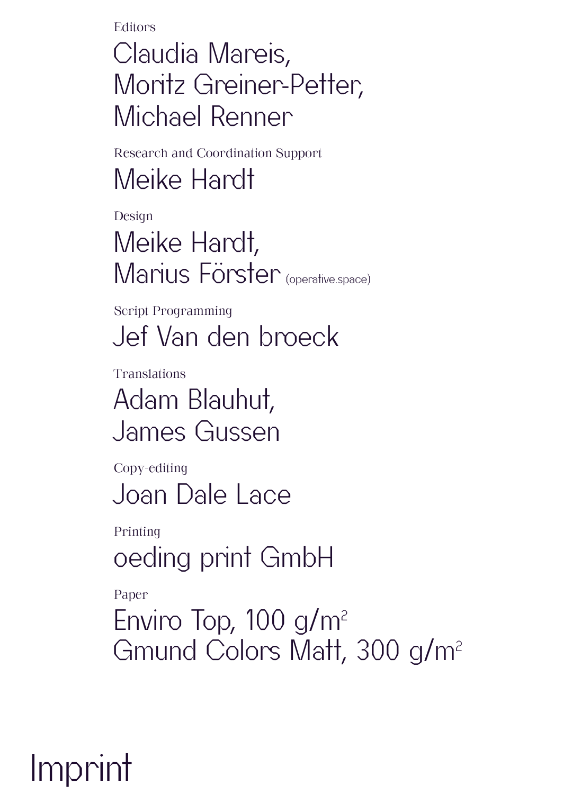**Editors** 

Claudia Mareis, Moritz Greiner-Petter, Michael Renner

Research and Coordination Support Meike Hardt

Design

Meike Hardt, Marius Förster (operative.space)

Script Programming Jef Van den broeck

Translations Adam Blauhut, James Gussen

Copy-editing Joan Dale Lace

Printing oeding print GmbH

Paper

Enviro Top,  $100$  g/m<sup>2</sup> Gmund Colors Matt, 300 g/m2

Imprint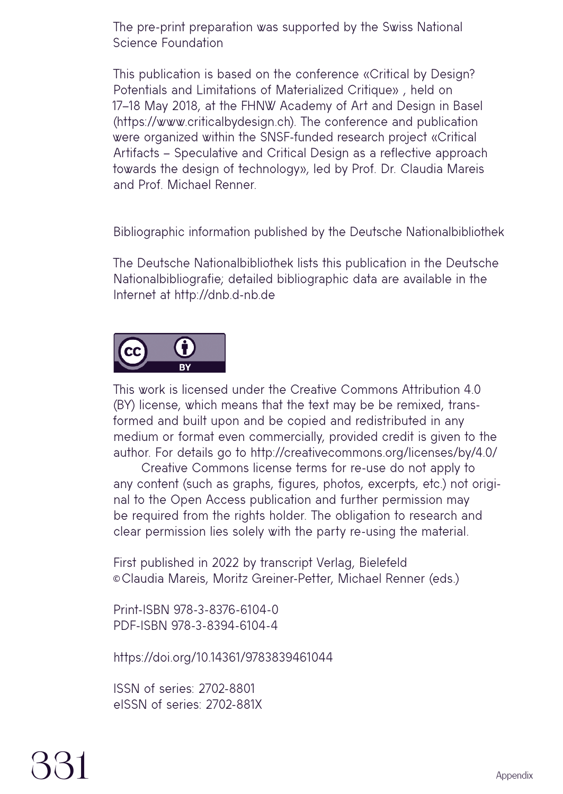The pre-print preparation was supported by the Swiss National Science Foundation

This publication is based on the conference «Critical by Design? Potentials and Limitations of Materialized Critique» , held on 17–18 May 2018, at the FHNW Academy of Art and Design in Basel (https://www.criticalbydesign.ch). The conference and publication were organized within the SNSF-funded research project «Critical Artifacts – Speculative and Critical Design as a reflective approach towards the design of technology», led by Prof. Dr. Claudia Mareis and Prof. Michael Renner.

Bibliographic information published by the Deutsche Nationalbibliothek

The Deutsche Nationalbibliothek lists this publication in the Deutsche Nationalbibliografie; detailed bibliographic data are available in the Internet at http://dnb.d-nb.de



This work is licensed under the Creative Commons Attribution 4.0 (BY) license, which means that the text may be be remixed, transformed and built upon and be copied and redistributed in any medium or format even commercially, provided credit is given to the author. For details go to http://creativecommons.org/licenses/by/4.0/

Creative Commons license terms for re-use do not apply to any content (such as graphs, figures, photos, excerpts, etc.) not original to the Open Access publication and further permission may be required from the rights holder. The obligation to research and clear permission lies solely with the party re-using the material.

First published in 2022 by transcript Verlag, Bielefeld ©Claudia Mareis, Moritz Greiner-Petter, Michael Renner (eds.)

Print-ISBN 978-3-8376-6104-0 PDF-ISBN 978-3-8394-6104-4

https://doi.org/10.14361/9783839461044

ISSN of series: 2702-8801 eISSN of series: 2702-881X